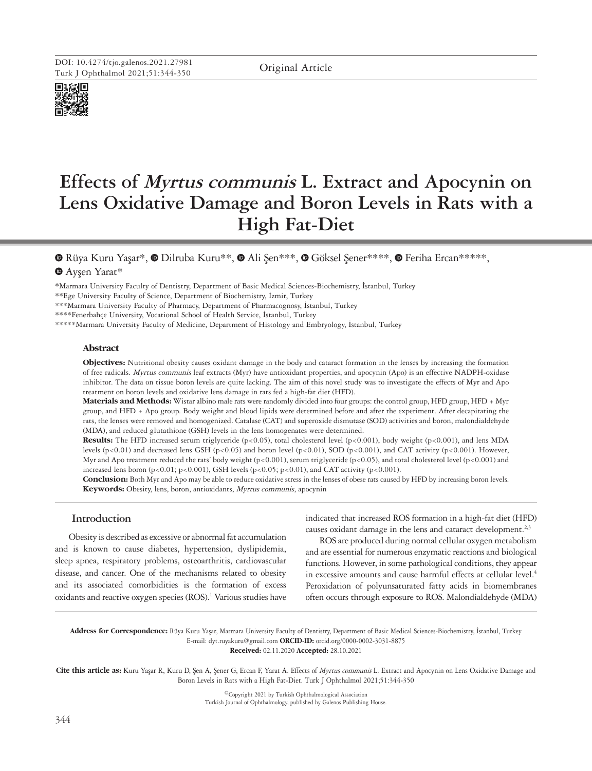

# **Effects of Myrtus communis L. Extract and Apocynin on Lens Oxidative Damage and Boron Levels in Rats with a High Fat-Diet**

Rüya Kuru Yaşar\*,Dilruba Kuru\*\*, [A](https://orcid.org/0000-0002-2144-5741)li Şen\*\*\*,Göksel Şener\*\*\*\*,Feriha Ercan\*\*\*\*\*, Ayşen Yarat\*

\*Marmara University Faculty of Dentistry, Department of Basic Medical Sciences-Biochemistry, İstanbul, Turkey

\*\*Ege University Faculty of Science, Department of Biochemistry, İzmir, Turkey

\*\*\*Marmara University Faculty of Pharmacy, Department of Pharmacognosy, İstanbul, Turkey

\*\*\*\*Fenerbahçe University, Vocational School of Health Service, İstanbul, Turkey

\*\*\*\*\*Marmara University Faculty of Medicine, Department of Histology and Embryology, İstanbul, Turkey

## **Abstract**

**Objectives:** Nutritional obesity causes oxidant damage in the body and cataract formation in the lenses by increasing the formation of free radicals. Myrtus communis leaf extracts (Myr) have antioxidant properties, and apocynin (Apo) is an effective NADPH-oxidase inhibitor. The data on tissue boron levels are quite lacking. The aim of this novel study was to investigate the effects of Myr and Apo treatment on boron levels and oxidative lens damage in rats fed a high-fat diet (HFD).

**Materials and Methods:** Wistar albino male rats were randomly divided into four groups: the control group, HFD group, HFD + Myr group, and HFD + Apo group. Body weight and blood lipids were determined before and after the experiment. After decapitating the rats, the lenses were removed and homogenized. Catalase (CAT) and superoxide dismutase (SOD) activities and boron, malondialdehyde (MDA), and reduced glutathione (GSH) levels in the lens homogenates were determined.

**Results:** The HFD increased serum triglyceride (p<0.05), total cholesterol level (p<0.001), body weight (p<0.001), and lens MDA levels (p<0.01) and decreased lens GSH (p<0.05) and boron level (p<0.01), SOD (p<0.001), and CAT activity (p<0.001). However, Myr and Apo treatment reduced the rats' body weight (p<0.001), serum triglyceride (p<0.05), and total cholesterol level (p<0.001) and increased lens boron (p<0.01; p<0.001), GSH levels (p<0.05; p<0.01), and CAT activity (p<0.001).

**Conclusion:** Both Myr and Apo may be able to reduce oxidative stress in the lenses of obese rats caused by HFD by increasing boron levels. **Keywords:** Obesity, lens, boron, antioxidants, Myrtus communis, apocynin

# **Introduction**

Obesity is described as excessive or abnormal fat accumulation and is known to cause diabetes, hypertension, dyslipidemia, sleep apnea, respiratory problems, osteoarthritis, cardiovascular disease, and cancer. One of the mechanisms related to obesity and its associated comorbidities is the formation of excess oxidants and reactive oxygen species (ROS).<sup>1</sup> Various studies have indicated that increased ROS formation in a high-fat diet (HFD) causes oxidant damage in the lens and cataract development.<sup>2,3</sup>

ROS are produced during normal cellular oxygen metabolism and are essential for numerous enzymatic reactions and biological functions. However, in some pathological conditions, they appear in excessive amounts and cause harmful effects at cellular level.<sup>4</sup> Peroxidation of polyunsaturated fatty acids in biomembranes often occurs through exposure to ROS. Malondialdehyde (MDA)

**Address for Correspondence:** Rüya Kuru Yaşar, Marmara University Faculty of Dentistry, Department of Basic Medical Sciences-Biochemistry, İstanbul, Turkey E-mail: dyt.ruyakuru@gmail.com **ORCID-ID:** orcid.org/0000-0002-3031-8875 **Received:** 02.11.2020 **Accepted:** 28.10.2021

**Cite this article as:** Kuru Yaşar R, Kuru D, Şen A, Şener G, Ercan F, Yarat A. Effects of Myrtus communis L. Extract and Apocynin on Lens Oxidative Damage and Boron Levels in Rats with a High Fat-Diet. Turk J Ophthalmol 2021;51:344-350

> ©Copyright 2021 by Turkish Ophthalmological Association Turkish Journal of Ophthalmology, published by Galenos Publishing House.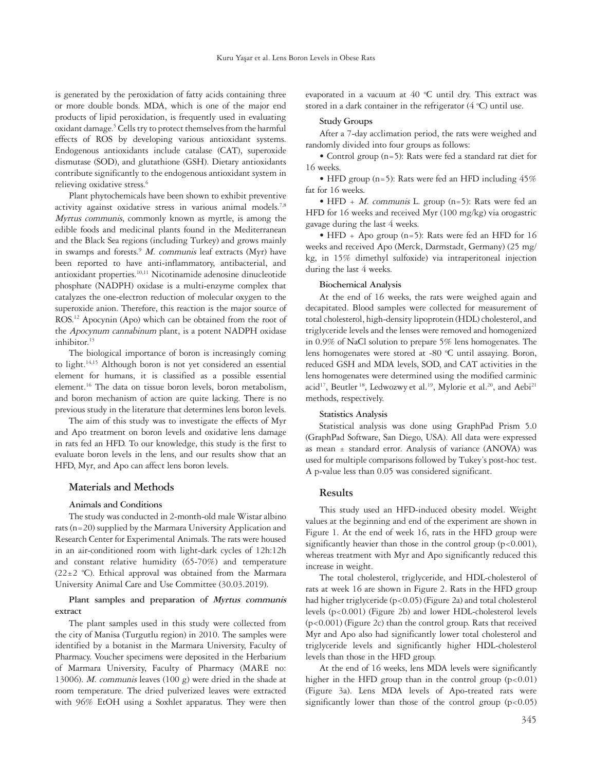is generated by the peroxidation of fatty acids containing three or more double bonds. MDA, which is one of the major end products of lipid peroxidation, is frequently used in evaluating oxidant damage.<sup>5</sup> Cells try to protect themselves from the harmful effects of ROS by developing various antioxidant systems. Endogenous antioxidants include catalase (CAT), superoxide dismutase (SOD), and glutathione (GSH). Dietary antioxidants contribute significantly to the endogenous antioxidant system in relieving oxidative stress.<sup>6</sup>

Plant phytochemicals have been shown to exhibit preventive activity against oxidative stress in various animal models.<sup>7,8</sup> Myrtus communis, commonly known as myrtle, is among the edible foods and medicinal plants found in the Mediterranean and the Black Sea regions (including Turkey) and grows mainly in swamps and forests.<sup>9</sup> M. communis leaf extracts (Myr) have been reported to have anti-inflammatory, antibacterial, and antioxidant properties.10,11 Nicotinamide adenosine dinucleotide phosphate (NADPH) oxidase is a multi-enzyme complex that catalyzes the one-electron reduction of molecular oxygen to the superoxide anion. Therefore, this reaction is the major source of ROS.<sup>12</sup> Apocynin (Apo) which can be obtained from the root of the Apocynum cannabinum plant, is a potent NADPH oxidase inhibitor.<sup>13</sup>

The biological importance of boron is increasingly coming to light.<sup>14,15</sup> Although boron is not yet considered an essential element for humans, it is classified as a possible essential element.<sup>16</sup> The data on tissue boron levels, boron metabolism, and boron mechanism of action are quite lacking. There is no previous study in the literature that determines lens boron levels.

The aim of this study was to investigate the effects of Myr and Apo treatment on boron levels and oxidative lens damage in rats fed an HFD. To our knowledge, this study is the first to evaluate boron levels in the lens, and our results show that an HFD, Myr, and Apo can affect lens boron levels.

# **Materials and Methods**

## **Animals and Conditions**

The study was conducted in 2-month-old male Wistar albino rats (n=20) supplied by the Marmara University Application and Research Center for Experimental Animals. The rats were housed in an air-conditioned room with light-dark cycles of 12h:12h and constant relative humidity (65-70%) and temperature  $(22 \pm 2 \degree C)$ . Ethical approval was obtained from the Marmara University Animal Care and Use Committee (30.03.2019).

# **Plant samples and preparation of Myrtus communis extract**

The plant samples used in this study were collected from the city of Manisa (Turgutlu region) in 2010. The samples were identified by a botanist in the Marmara University, Faculty of Pharmacy. Voucher specimens were deposited in the Herbarium of Marmara University, Faculty of Pharmacy (MARE no: 13006). M. communis leaves (100 g) were dried in the shade at room temperature. The dried pulverized leaves were extracted with 96% EtOH using a Soxhlet apparatus. They were then evaporated in a vacuum at  $40$  °C until dry. This extract was stored in a dark container in the refrigerator  $(4 °C)$  until use.

#### **Study Groups**

After a 7-day acclimation period, the rats were weighed and randomly divided into four groups as follows:

• Control group (n=5): Rats were fed a standard rat diet for 16 weeks.

• HFD group (n=5): Rats were fed an HFD including  $45\%$ fat for 16 weeks.

• HFD + *M. communis* L. group  $(n=5)$ : Rats were fed an HFD for 16 weeks and received Myr (100 mg/kg) via orogastric gavage during the last 4 weeks.

• HFD + Apo group (n=5): Rats were fed an HFD for  $16$ weeks and received Apo (Merck, Darmstadt, Germany) (25 mg/ kg, in 15% dimethyl sulfoxide) via intraperitoneal injection during the last 4 weeks.

#### **Biochemical Analysis**

At the end of 16 weeks, the rats were weighed again and decapitated. Blood samples were collected for measurement of total cholesterol, high-density lipoprotein (HDL) cholesterol, and triglyceride levels and the lenses were removed and homogenized in 0.9% of NaCl solution to prepare 5% lens homogenates. The lens homogenates were stored at -80 °C until assaying. Boron, reduced GSH and MDA levels, SOD, and CAT activities in the lens homogenates were determined using the modified carminic acid<sup>17</sup>, Beutler<sup>18</sup>, Ledwozwy et al.<sup>19</sup>, Mylorie et al.<sup>20</sup>, and Aebi<sup>21</sup> methods, respectively.

## **Statistics Analysis**

Statistical analysis was done using GraphPad Prism 5.0 (GraphPad Software, San Diego, USA). All data were expressed as mean ± standard error. Analysis of variance (ANOVA) was used for multiple comparisons followed by Tukey's post-hoc test. A p-value less than 0.05 was considered significant.

#### **Results**

This study used an HFD-induced obesity model. Weight values at the beginning and end of the experiment are shown in Figure 1. At the end of week 16, rats in the HFD group were significantly heavier than those in the control group  $(p<0.001)$ , whereas treatment with Myr and Apo significantly reduced this increase in weight.

The total cholesterol, triglyceride, and HDL-cholesterol of rats at week 16 are shown in Figure 2. Rats in the HFD group had higher triglyceride (p<0.05) (Figure 2a) and total cholesterol levels (p<0.001) (Figure 2b) and lower HDL-cholesterol levels (p<0.001) (Figure 2c) than the control group. Rats that received Myr and Apo also had significantly lower total cholesterol and triglyceride levels and significantly higher HDL-cholesterol levels than those in the HFD group.

At the end of 16 weeks, lens MDA levels were significantly higher in the HFD group than in the control group  $(p<0.01)$ (Figure 3a). Lens MDA levels of Apo-treated rats were significantly lower than those of the control group  $(p<0.05)$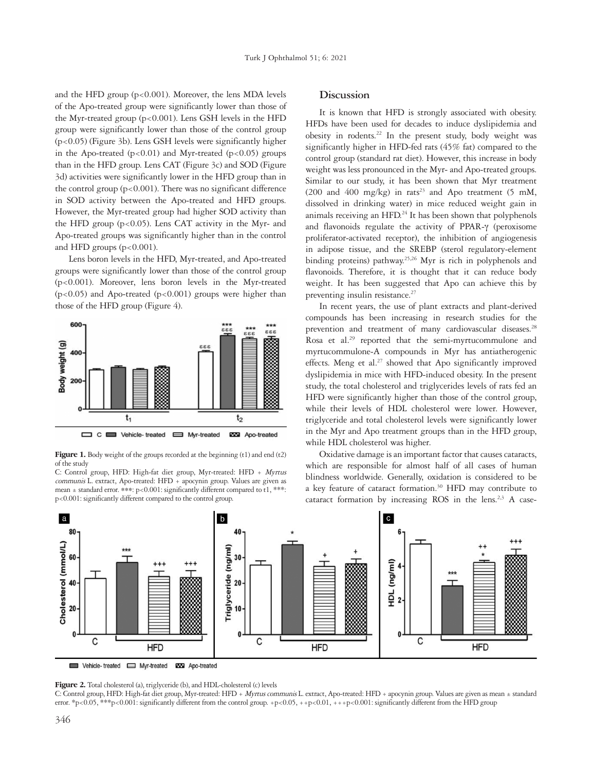and the HFD group  $(p<0.001)$ . Moreover, the lens MDA levels of the Apo-treated group were significantly lower than those of the Myr-treated group (p<0.001). Lens GSH levels in the HFD group were significantly lower than those of the control group (p<0.05) (Figure 3b). Lens GSH levels were significantly higher in the Apo-treated  $(p<0.01)$  and Myr-treated  $(p<0.05)$  groups than in the HFD group. Lens CAT (Figure 3c) and SOD (Figure 3d) activities were significantly lower in the HFD group than in the control group (p<0.001). There was no significant difference in SOD activity between the Apo-treated and HFD groups. However, the Myr-treated group had higher SOD activity than the HFD group  $(p<0.05)$ . Lens CAT activity in the Myr- and Apo-treated groups was significantly higher than in the control and HFD groups  $(p<0.001)$ .

Lens boron levels in the HFD, Myr-treated, and Apo-treated groups were significantly lower than those of the control group (p<0.001). Moreover, lens boron levels in the Myr-treated (p<0.05) and Apo-treated (p<0.001) groups were higher than those of the HFD group (Figure 4).



Figure 1. Body weight of the groups recorded at the beginning (t1) and end (t2) of the study

C: Control group, HFD: High-fat diet group, Myr-treated: HFD + Myrtus communis L. extract, Apo-treated: HFD + apocynin group. Values are given as mean ± standard error. \*\*\*: p<0.001: significantly different compared to t1, \*\*\*: p<0.001: significantly different compared to the control group.

## **Discussion**

It is known that HFD is strongly associated with obesity. HFDs have been used for decades to induce dyslipidemia and obesity in rodents.<sup>22</sup> In the present study, body weight was significantly higher in HFD-fed rats (45% fat) compared to the control group (standard rat diet). However, this increase in body weight was less pronounced in the Myr- and Apo-treated groups. Similar to our study, it has been shown that Myr treatment (200 and 400 mg/kg) in rats<sup>23</sup> and Apo treatment (5 mM, dissolved in drinking water) in mice reduced weight gain in animals receiving an HFD. $^{24}$  It has been shown that polyphenols and flavonoids regulate the activity of PPAR-γ (peroxisome proliferator-activated receptor), the inhibition of angiogenesis in adipose tissue, and the SREBP (sterol regulatory-element binding proteins) pathway.25,26 Myr is rich in polyphenols and flavonoids. Therefore, it is thought that it can reduce body weight. It has been suggested that Apo can achieve this by preventing insulin resistance.<sup>27</sup>

In recent years, the use of plant extracts and plant-derived compounds has been increasing in research studies for the prevention and treatment of many cardiovascular diseases.<sup>28</sup> Rosa et al.<sup>29</sup> reported that the semi-myrtucommulone and myrtucommulone-A compounds in Myr has antiatherogenic effects. Meng et al.<sup>27</sup> showed that Apo significantly improved dyslipidemia in mice with HFD-induced obesity. In the present study, the total cholesterol and triglycerides levels of rats fed an HFD were significantly higher than those of the control group, while their levels of HDL cholesterol were lower. However, triglyceride and total cholesterol levels were significantly lower in the Myr and Apo treatment groups than in the HFD group, while HDL cholesterol was higher.

Oxidative damage is an important factor that causes cataracts, which are responsible for almost half of all cases of human blindness worldwide. Generally, oxidation is considered to be a key feature of cataract formation.<sup>30</sup> HFD may contribute to cataract formation by increasing ROS in the lens.<sup>2,3</sup> A case-



Vehicle-treated E Myr-treated **EXP** Apo-treated

**Figure 2.** Total cholesterol (a), triglyceride (b), and HDL-cholesterol (c) levels

C: Control group, HFD: High-fat diet group, Myr-treated: HFD + Myrtus communis L. extract, Apo-treated: HFD + apocynin group. Values are given as mean ± standard error. \*p<0.05, \*\*\*p<0.001: significantly different from the control group. +p<0.05, ++p<0.01, +++p<0.001: significantly different from the HFD group.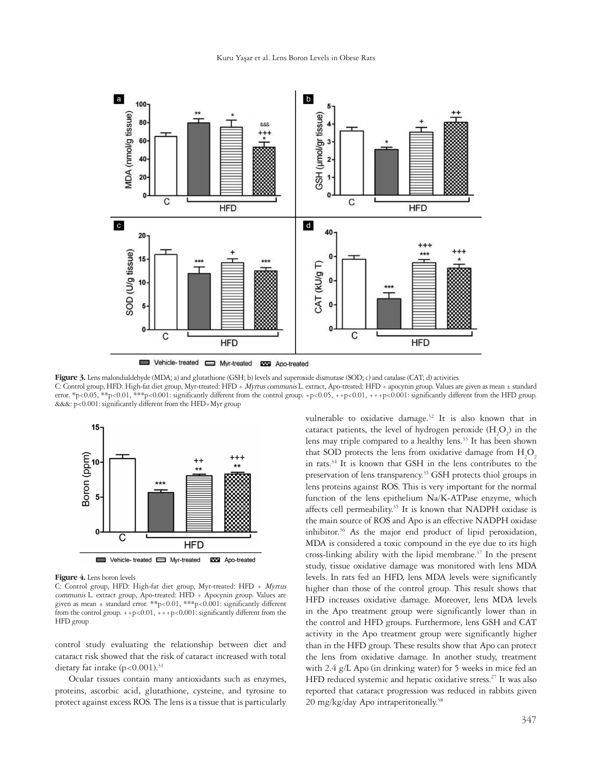

Vehicle-treated SMyr-treated SM Apo-treated

Figure 3. Lens malondialdehyde (MDA; a) and glutathione (GSH; b) levels and superoxide dismutase (SOD; c) and catalase (CAT; d) activities C: Control group, HFD: High-fat diet group, Myr-treated: HFD + Myrtus communis L. extract, Apo-treated: HFD + apocynin group. Values are given as mean ± standard error. \*p<0.05, \*\*p<0.01, \*\*\*p<0.001: significantly different from the control group. +p<0.05, ++p<0.01, +++p<0.001: significantly different from the HFD group. &&&: p<0.001: significantly different from the HFD+Myr group



**Figure 4.** Lens boron levels

C: Control group, HFD: High-fat diet group, Myr-treated: HFD + Myrtus communis L. extract group, Apo-treated: HFD + Apocynin group. Values are given as mean ± standard error. \*\*p<0.01, \*\*\*p<0.001: significantly different from the control group.  $++p<0.01$ ,  $+++p<0.001$ : significantly different from the HFD group

control study evaluating the relationship between diet and cataract risk showed that the risk of cataract increased with total dietary fat intake  $(p<0.001).$ <sup>31</sup>

Ocular tissues contain many antioxidants such as enzymes, proteins, ascorbic acid, glutathione, cysteine, and tyrosine to protect against excess ROS. The lens is a tissue that is particularly vulnerable to oxidative damage.<sup>32</sup> It is also known that in cataract patients, the level of hydrogen peroxide  $(\mathrm{H}_{2}\mathrm{O}_{2})$  in the lens may triple compared to a healthy lens.<sup>33</sup> It has been shown that SOD protects the lens from oxidative damage from  $H_2O_2$ in rats.<sup>34</sup> It is known that GSH in the lens contributes to the preservation of lens transparency.<sup>35</sup> GSH protects thiol groups in lens proteins against ROS. This is very important for the normal function of the lens epithelium Na/K-ATPase enzyme, which affects cell permeability.<sup>35</sup> It is known that NADPH oxidase is the main source of ROS and Apo is an effective NADPH oxidase inhibitor.<sup>36</sup> As the major end product of lipid peroxidation, MDA is considered a toxic compound in the eye due to its high cross-linking ability with the lipid membrane.<sup>37</sup> In the present study, tissue oxidative damage was monitored with lens MDA levels. In rats fed an HFD, lens MDA levels were significantly higher than those of the control group. This result shows that HFD increases oxidative damage. Moreover, lens MDA levels in the Apo treatment group were significantly lower than in the control and HFD groups. Furthermore, lens GSH and CAT activity in the Apo treatment group were significantly higher than in the HFD group. These results show that Apo can protect the lens from oxidative damage. In another study, treatment with 2.4 g/L Apo (in drinking water) for 5 weeks in mice fed an HFD reduced systemic and hepatic oxidative stress.<sup>27</sup> It was also reported that cataract progression was reduced in rabbits given  $20 \text{ mg/kg/day}$  Apo intraperitoneally.<sup>38</sup>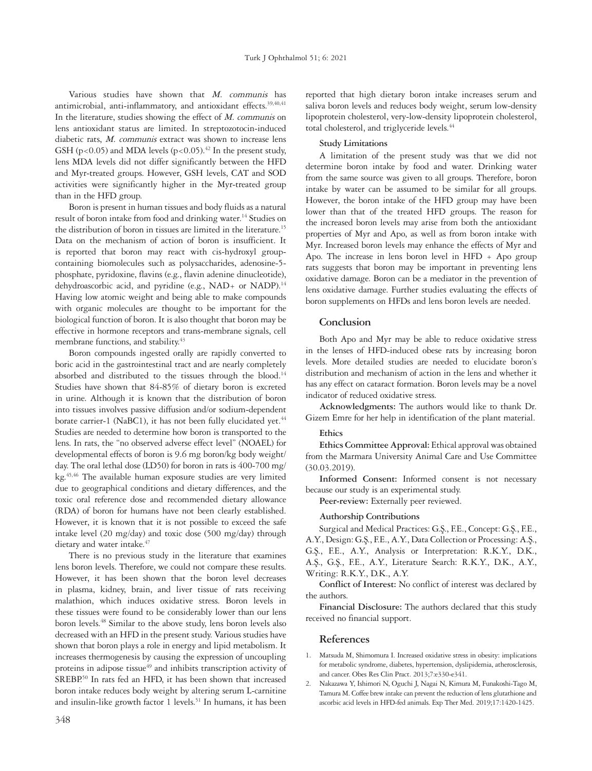Various studies have shown that M. communis has antimicrobial, anti-inflammatory, and antioxidant effects.<sup>39,40,41</sup> In the literature, studies showing the effect of  $M$ . communis on lens antioxidant status are limited. In streptozotocin-induced diabetic rats, M. communis extract was shown to increase lens GSH (p<0.05) and MDA levels (p<0.05).<sup>42</sup> In the present study, lens MDA levels did not differ significantly between the HFD and Myr-treated groups. However, GSH levels, CAT and SOD activities were significantly higher in the Myr-treated group than in the HFD group.

Boron is present in human tissues and body fluids as a natural result of boron intake from food and drinking water.<sup>14</sup> Studies on the distribution of boron in tissues are limited in the literature.<sup>15</sup> Data on the mechanism of action of boron is insufficient. It is reported that boron may react with cis-hydroxyl groupcontaining biomolecules such as polysaccharides, adenosine-5 phosphate, pyridoxine, flavins (e.g., flavin adenine dinucleotide), dehydroascorbic acid, and pyridine (e.g., NAD+ or NADP).<sup>14</sup> Having low atomic weight and being able to make compounds with organic molecules are thought to be important for the biological function of boron. It is also thought that boron may be effective in hormone receptors and trans-membrane signals, cell membrane functions, and stability.<sup>43</sup>

Boron compounds ingested orally are rapidly converted to boric acid in the gastrointestinal tract and are nearly completely absorbed and distributed to the tissues through the blood.<sup>14</sup> Studies have shown that 84-85% of dietary boron is excreted in urine. Although it is known that the distribution of boron into tissues involves passive diffusion and/or sodium-dependent borate carrier-1 (NaBC1), it has not been fully elucidated yet.<sup>44</sup> Studies are needed to determine how boron is transported to the lens. In rats, the "no observed adverse effect level" (NOAEL) for developmental effects of boron is 9.6 mg boron/kg body weight/ day. The oral lethal dose (LD50) for boron in rats is 400-700 mg/ kg.45,46 The available human exposure studies are very limited due to geographical conditions and dietary differences, and the toxic oral reference dose and recommended dietary allowance (RDA) of boron for humans have not been clearly established. However, it is known that it is not possible to exceed the safe intake level (20 mg/day) and toxic dose (500 mg/day) through dietary and water intake.<sup>47</sup>

There is no previous study in the literature that examines lens boron levels. Therefore, we could not compare these results. However, it has been shown that the boron level decreases in plasma, kidney, brain, and liver tissue of rats receiving malathion, which induces oxidative stress. Boron levels in these tissues were found to be considerably lower than our lens boron levels.48 Similar to the above study, lens boron levels also decreased with an HFD in the present study. Various studies have shown that boron plays a role in energy and lipid metabolism. It increases thermogenesis by causing the expression of uncoupling proteins in adipose tissue<sup>49</sup> and inhibits transcription activity of SREBP.<sup>50</sup> In rats fed an HFD, it has been shown that increased boron intake reduces body weight by altering serum L-carnitine and insulin-like growth factor 1 levels.<sup>51</sup> In humans, it has been

reported that high dietary boron intake increases serum and saliva boron levels and reduces body weight, serum low-density lipoprotein cholesterol, very-low-density lipoprotein cholesterol, total cholesterol, and triglyceride levels.<sup>44</sup>

## **Study Limitations**

A limitation of the present study was that we did not determine boron intake by food and water. Drinking water from the same source was given to all groups. Therefore, boron intake by water can be assumed to be similar for all groups. However, the boron intake of the HFD group may have been lower than that of the treated HFD groups. The reason for the increased boron levels may arise from both the antioxidant properties of Myr and Apo, as well as from boron intake with Myr. Increased boron levels may enhance the effects of Myr and Apo. The increase in lens boron level in  $HFD + Apo$  group rats suggests that boron may be important in preventing lens oxidative damage. Boron can be a mediator in the prevention of lens oxidative damage. Further studies evaluating the effects of boron supplements on HFDs and lens boron levels are needed.

# **Conclusion**

Both Apo and Myr may be able to reduce oxidative stress in the lenses of HFD-induced obese rats by increasing boron levels. More detailed studies are needed to elucidate boron's distribution and mechanism of action in the lens and whether it has any effect on cataract formation. Boron levels may be a novel indicator of reduced oxidative stress.

**Acknowledgments:** The authors would like to thank Dr. Gizem Emre for her help in identification of the plant material.

#### **Ethics**

**Ethics Committee Approval:** Ethical approval was obtained from the Marmara University Animal Care and Use Committee (30.03.2019).

**Informed Consent:** Informed consent is not necessary because our study is an experimental study.

**Peer-review:** Externally peer reviewed.

#### **Authorship Contributions**

Surgical and Medical Practices: G.Ş., F.E., Concept: G.Ş., F.E., A.Y., Design: G.Ş., F.E., A.Y., Data Collection or Processing: A.Ş., G.Ş., F.E., A.Y., Analysis or Interpretation: R.K.Y., D.K., A.Ş., G.Ş., F.E., A.Y., Literature Search: R.K.Y., D.K., A.Y., Writing: R.K.Y., D.K., A.Y.

**Conflict of Interest:** No conflict of interest was declared by the authors.

**Financial Disclosure:** The authors declared that this study received no financial support.

#### **References**

- 1. Matsuda M, Shimomura I. Increased oxidative stress in obesity: implications for metabolic syndrome, diabetes, hypertension, dyslipidemia, atherosclerosis, and cancer. Obes Res Clin Pract. 2013;7:e330-e341.
- 2. Nakazawa Y, Ishimori N, Oguchi J, Nagai N, Kimura M, Funakoshi-Tago M, Tamura M. Coffee brew intake can prevent the reduction of lens glutathione and ascorbic acid levels in HFD-fed animals. Exp Ther Med. 2019;17:1420-1425.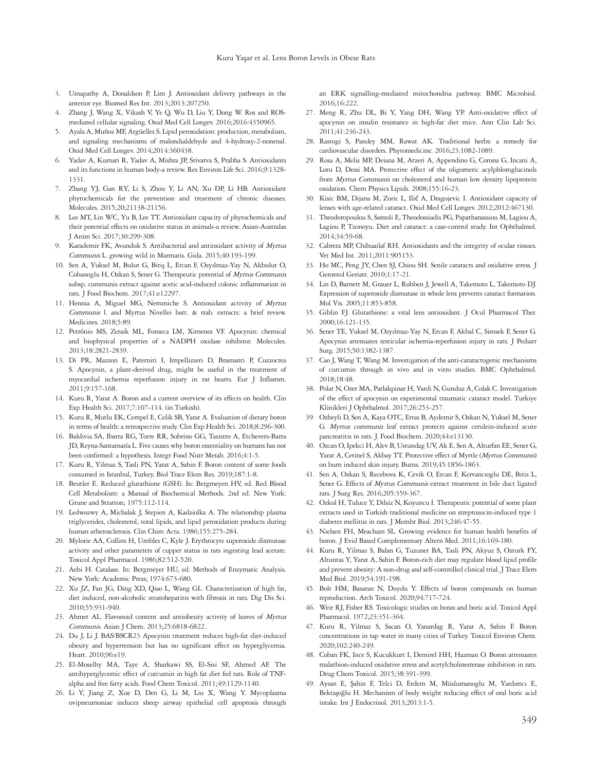- 3. Umapathy A, Donaldson P, Lim J. Antioxidant delivery pathways in the anterior eye. Biomed Res Int. 2013;2013:207250.
- 4. Zhang J, Wang X, Vikash V, Ye Q, Wu D, Liu Y, Dong W. Ros and ROSmediated cellular signaling. Oxid Med Cell Longev. 2016;2016:4350965.
- 5. Ayala A, Muñoz MF, Argüelles S. Lipid peroxidation: production, metabolism, and signaling mechanisms of malondialdehyde and 4-hydroxy-2-nonenal. Oxid Med Cell Longev. 2014;2014:360438.
- 6. Yadav A, Kumari R, Yadav A, Mishra JP, Srivatva S, Prabha S. Antioxidants and its functions in human body-a review. Res Environ Life Sci. 2016;9:1328- 1331.
- 7. Zhang YJ, Gan RY, Li S, Zhou Y, Li AN, Xu DP, Li HB. Antioxidant phytochemicals for the prevention and treatment of chronic diseases. Molecules. 2015;20;21138-21156.
- 8. Lee MT, Lin WC, Yu B, Lee TT. Antioxidant capacity of phytochemicals and their potential effects on oxidative status in animals-a review. Asian-Australas J Anim Sci. 2017;30:299-308.
- 9. Karademir FK, Avunduk S. Antibacterial and antioxidant activity of Myrtus Communis L. growing wild in Marmaris. Gida. 2015;40:193-199.
- 10. Sen A, Yuksel M, Bulut G, Bitiş L, Ercan F, Ozyılmaz-Yay N, Akbulut O, Cobanoglu H, Ozkan S, Sener G. Therapeutic potential of Myrtus Communis subsp. communis extract against acetic acid-induced colonic inflammation in rats. J Food Biochem. 2017;41:e12297.
- 11. Hennia A, Miguel MG, Nemmiche S. Antioxidant activity of Myrtus Communis l. and Myrtus Nivellei batt. & trab. extracts: a brief review. Medicines. 2018;5:89.
- 12. Petrônio MS, Zeraik ML, Fonseca LM, Ximenes VF. Apocynin: chemical and biophysical properties of a NADPH oxidase inhibitor. Molecules. 2013;18:2821-2839.
- 13. Di PR, Mazzon E, Paterniti I, Impellizzeri D, Bramanti P, Cuzzocrea S. Apocynin, a plant-derived drug, might be useful in the treatment of myocardial ischemia reperfusion injury in rat hearts. Eur J Inflamm. 2011;9:157-168.
- 14. Kuru R, Yarat A. Boron and a current overview of its effects on health. Clin Exp Health Sci. 2017;7:107-114. (in Turkish).
- 15. Kuru R, Mutlu EK, Cempel E, Celik SB, Yarat A. Evaluation of dietary boron in terms of health: a retrospective study. Clin Exp Health Sci. 2018;8:296-300.
- 16. Baldivia SA, Ibarra RG, Torre RR, Sobrino GG, Tasistro A, Etchevers-Barra JD, Reyna-Santamaría L. Five causes why boron essentiality on humans has not been confirmed: a hypothesis. Integr Food Nutr Metab. 2016;4:1-5.
- 17. Kuru R, Yilmaz S, Tasli PN, Yarat A, Sahin F. Boron content of some foods consumed in Istanbul, Turkey. Biol Trace Elem Res. 2019;187:1-8.
- 18. Beutler E. Reduced glutathione (GSH). In: Bergmeyen HV, ed. Red Blood Cell Metabolism: a Manual of Biochemical Methods. 2nd ed. New York: Grune and Stratton; 1975:112-114.
- 19. Ledwozwy A, Michalak J, Stepien A, Kadziolka A. The relationship plasma triglycerides, cholesterol, total lipids, and lipid peroxidation products during human atherosclerosis. Clin Chim Acta. 1986;155:275-284.
- 20. Mylorie AA, Collins H, Umbles C, Kyle J. Erythrocyte superoxide dismutase activity and other parameters of cupper status in rats ingesting lead acetate. Toxicol Appl Pharmacol. 1986;82:512-520.
- 21. Aebi H. Catalase. In: Bergmeyer HU, ed. Methods of Enzymatic Analysis. New York: Academic Press; 1974:673-680.
- 22. Xu JZ, Fan JG, Ding XD, Qiao L, Wang GL. Characterization of high fat, diet induced, non-alcoholic steatohepatitis with fibrosis in rats. Dig Dis Sci. 2010;55:931-940.
- 23. Ahmet AL. Flavonoid content and antiobesity activity of leaves of Myrtus Communis. Asian J Chem. 2013;25:6818-6822.
- 24. Du J, Li J. BAS/BSCR23 Apocynin treatment reduces high-fat diet-induced obesity and hypertension but has no significant effect on hyperglycemia. Heart. 2010;96:e19.
- 25. El-Moselhy MA, Taye A, Sharkawi SS, El-Sisi SF, Ahmed AF. The antihyperglycemic effect of curcumin in high fat diet fed rats. Role of TNFalpha and free fatty acids. Food Chem Toxicol. 2011;49:1129-1140.
- 26. Li Y, Jiang Z, Xue D, Den G, Li M, Liu X, Wang Y. Mycoplasma ovipneumoniae induces sheep airway epithelial cell apoptosis through

an ERK signalling-mediated mitochondria pathway. BMC Microbiol. 2016;16:222.

- 27. Meng R, Zhu DL, Bi Y, Yang DH, Wang YP. Anti-oxidative effect of apocynin on insulin resistance in high-fat diet mice. Ann Clin Lab Sci. 2011;41:236-243.
- 28. Rastogi S, Pandey MM, Rawat AK. Traditional herbs: a remedy for cardiovascular disorders. Phytomedicine. 2016;23:1082-1089.
- 29. Rosa A, Melis MP, Deiana M, Atzeri A, Appendino G, Corona G, Incani A, Loru D, Dessi MA. Protective effect of the oligomeric acylphloroglucinols from Myrtus Communis on cholesterol and human low density lipoprotein oxidation. Chem Physics Lipids. 2008;155:16-23.
- 30. Kisic BM, Dijana M, Zoric L, Ilić A, Dragojevic I. Antioxidant capacity of lenses with age-related cataract. Oxid Med Cell Longev. 2012;2012:467130.
- 31. Theodoropoulou S, Samoli E, Theodossiadis PG, Papathanassiou M, Lagiou A, Lagiou P, Tzonoyu. Diet and cataract: a case-control study. Int Ophthalmol. 2014;34:59-68.
- 32. Cabrera MP, Chihuailaf RH. Antioxidants and the integrity of ocular tissues. Vet Med Int. 2011;2011:905153.
- 33. Ho MC, Peng JY, Chen SJ, Chiou SH. Senile cataracts and oxidative stress. J Gerontol Geriatr. 2010;1:17-21.
- 34. Lin D, Barnett M, Grauer L, Robben J, Jewell A, Takemoto L, Takemoto DJ. Expression of superoxide dismutase in whole lens prevents cataract formation. Mol Vis. 2005;11:853-858.
- 35. Giblin FJ. Glutathione: a vital lens antioxidant. J Ocul Pharmacol Ther. 2000;16:121-135.
- 36. Sener TE, Yuksel M, Ozyılmaz-Yay N, Ercan F, Akbal C, Simsek F, Sener G. Apocynin attenuates testicular ischemia-reperfusion injury in rats. J Pediatr Surg. 2015;50:1382-1387.
- 37. Cao J, Wang T, Wang M. Investigation of the anti-cataractogenic mechanisms of curcumin through in vivo and in vitro studies. BMC Ophthalmol. 2018;18:48.
- 38. Polat N, Ozer MA, Parlakpinar H, Vardi N, Gunduz A, Colak C. Investigation of the effect of apocynin on experimental traumatic cataract model. Turkiye Klinikleri J Ophthalmol. 2017;26:253-257.
- 39. Ozbeyli D, Sen A, Kaya OTC, Ertas B, Aydemir S, Ozkan N, Yuksel M, Sener G. Myrtus communis leaf extract protects against cerulein-induced acute pancreatitis in rats. J. Food Biochem. 2020;44:e13130.
- 40. Ozcan O, Ipekci H, Alev B, Ustundag UV, Ak E, Sen A, Alturfan EE, Sener G, Yarat A, Cetinel S, Akbay TT. Protective effect of Myrtle (Myrtus Communis) on burn induced skin injury. Burns. 2019;45:1856-1863.
- 41. Sen A, Ozkan S, Recebova K, Cevik O, Ercan F, Kervancıoglu DE, Bitis L, Sener G. Effects of *Myrtus Communis* extract treatment in bile duct ligated rats. J Surg Res. 2016;205:359-367.
- 42. Ozkol H, Tuluce Y, Dilsiz N, Koyuncu I. Therapeutic potential of some plant extracts used in Turkish traditional medicine on streptozocin-induced type 1 diabetes mellitus in rats. J Membr Biol. 2013;246:47-55.
- 43. Nielsen FH, Meacham SL. Growing evidence for human health benefits of boron. J Evid Based Complementary Altern Med. 2011;16:169-180.
- 44. Kuru R, Yilmaz S, Balan G, Tuzuner BA, Tasli PN, Akyuz S, Ozturk FY, Altuntas Y, Yarat A, Sahin F. Boron-rich diet may regulate blood lipid profile and prevent obesity: A non-drug and self-controlled clinical trial. J Trace Elem Med Biol. 2019;54:191-198.
- 45. Bolt HM, Basaran N, Duydu Y. Effects of boron compounds on human reproduction. Arch Toxicol. 2020;94:717-724.
- 46. Weir RJ, Fisher RS. Toxicologic studies on borax and boric acid. Toxicol Appl Pharmacol. 1972;23:351-364.
- 47. Kuru R, Yilmaz S, Sacan O, Yanardag R, Yarat A, Sahin F. Boron concentrations in tap water in many cities of Turkey. Toxicol Environ Chem. 2020;102:240-249.
- 48. Coban FK, Ince S, Kucukkurt I, Demirel HH, Hazman O. Boron attenuates malathion-induced oxidative stress and acetylcholinesterase inhibition in rats. Drug Chem Toxicol. 2015;38:391-399.
- 49. Aysan E, Şahin F, Telci D, Erdem M, Müslumanoglu M, Yardımcı E, Bektaşoğlu H. Mechanism of body weight reducing effect of oral boric acid intake. Int J Endocrinol. 2013;2013:1-5.